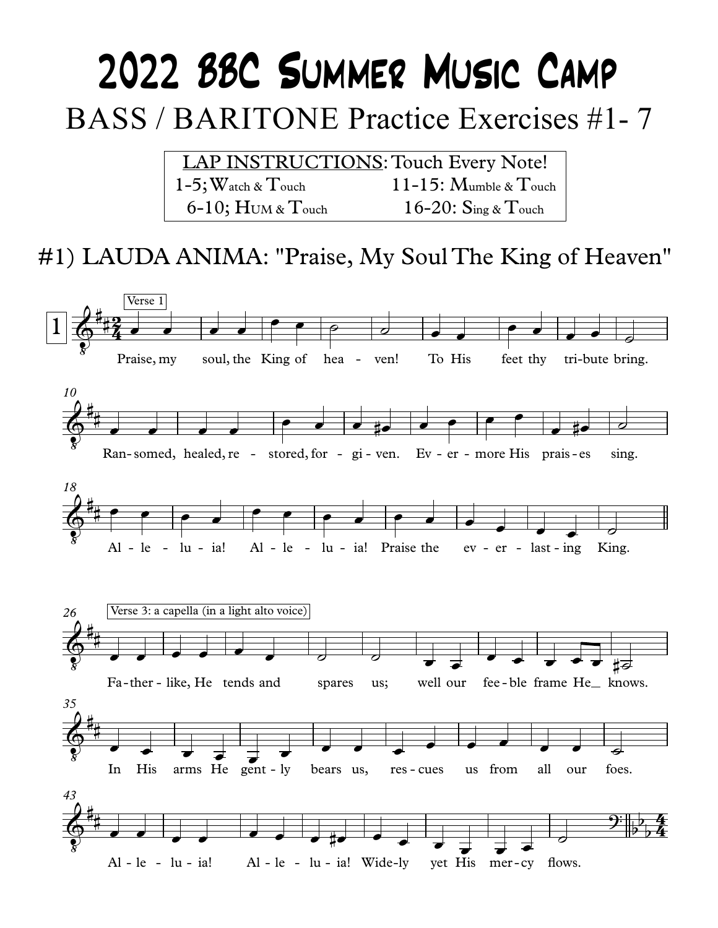# 2022 BBC SUMMER MUSIC CAMP **BASS / BARITONE Practice Exercises #1-7**

| <b>LAP INSTRUCTIONS: Touch Every Note!</b> |                                                        |
|--------------------------------------------|--------------------------------------------------------|
| $1$ – $5$ ; Watch & $\rm T$ ouch           | 11-15: $M$ umble & $T$ ouch                            |
| $6-10$ ; HUM & Touch                       | $16\text{-}20$ : $\mathrm{Sing} \ \& \ \mathrm{Touch}$ |

### #1) LAUDA ANIMA: "Praise, My Soul The King of Heaven"

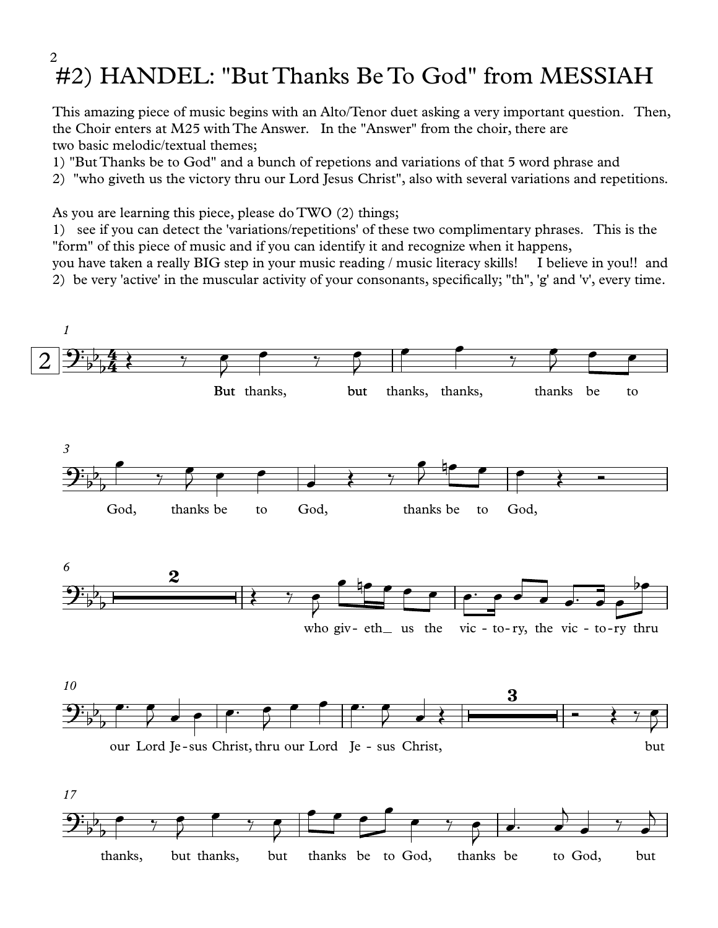#### #2) HANDEL: "But Thanks Be To God" from MESSIAH 2

This amazing piece of music begins with an Alto/Tenor duet asking a very important question. Then, the Choir enters at M25 with The Answer. In the "Answer" from the choir, there are two basic melodic/textual themes;

- 1) "But Thanks be to God" and a bunch of repetions and variations of that 5 word phrase and
- 2) "who giveth us the victory thru our Lord Jesus Christ", also with several variations and repetitions.

As you are learning this piece, please do TWO (2) things;

1) see ifyou can detect the 'variations/repetitions' of these two complimentary phrases. This is the "form" of this piece of music and if you can identify it and recognize when it happens,

you have taken a really BIG step in your music reading / music literacy skills! I believe in you!! and 2) be very 'active' in the muscular activity of your consonants, specifically; "th", 'g' and 'v', every time.

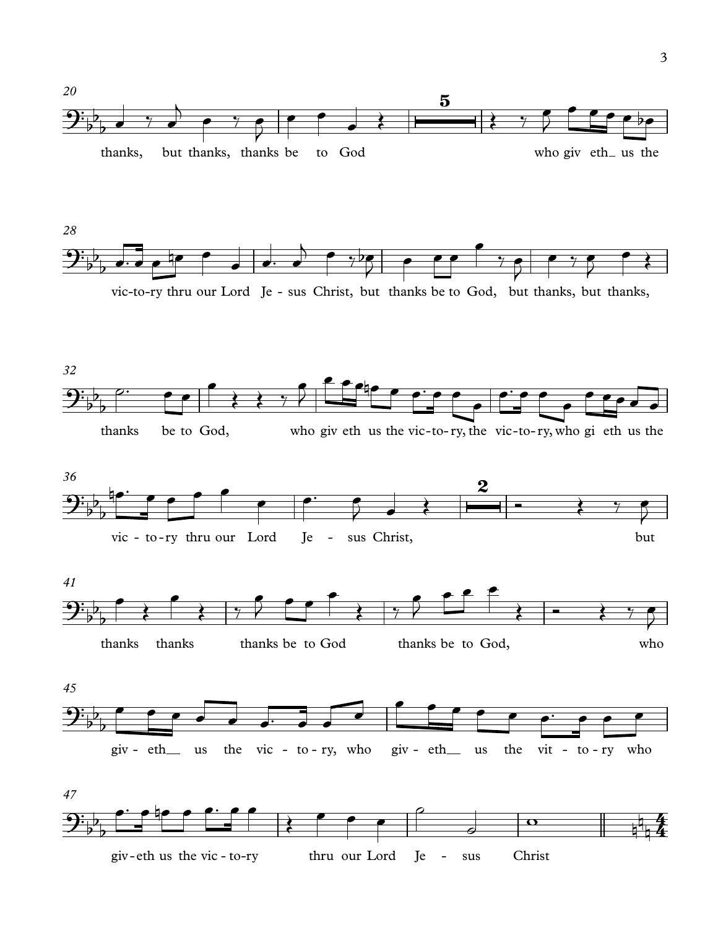



vic-to-ry thru our Lord Je - sus Christ, but thanks be to God, but thanks, but thanks,









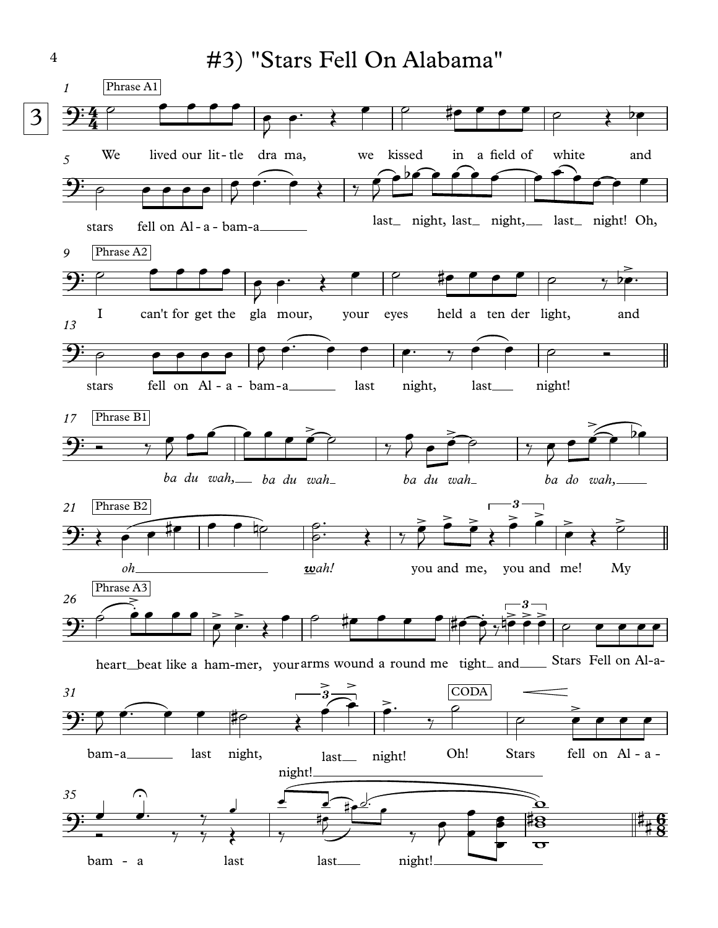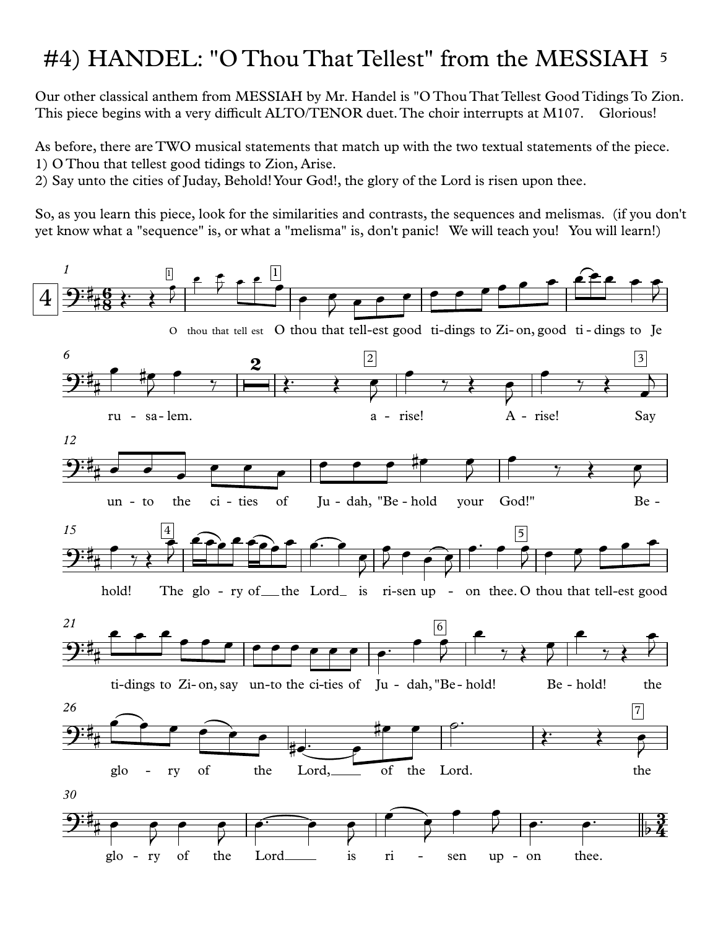## #4) HANDEL: "O Thou That Tellest" from the MESSIAH 5

Our other classical anthem from MESSIAH by Mr. Handel is "O Thou That Tellest Good Tidings To Zion. This piece begins with a very difficult ALTO/TENOR duet. The choir interrupts at M107. Glorious!

As before, there are TWO musical statements that match up with the two textual statements of the piece. 1) O Thou that tellest good tidings to Zion, Arise.

2) Say unto the cities of Juday, Behold! Your God!, the glory of the Lord is risen upon thee.

So, as you learn this piece, look for the similarities and contrasts, the sequences and melismas. (if you don't yet know what a "sequence" is, or what a "melisma" is, don't panic! We will teach you! You will learn!)

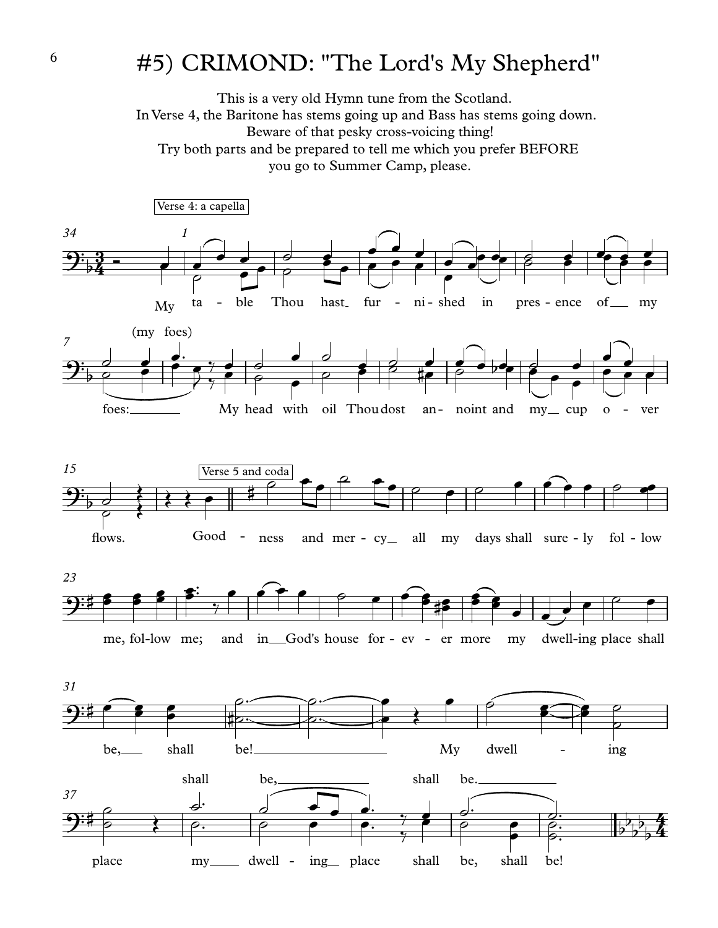#### #5) CRIMOND: "The Lord's My Shepherd"

This is a very old Hymn tune from the Scotland. In Verse 4, the Baritone has stems going up and Bass has stems going down. Beware of that pesky cross-voicing thing! Try both parts and be prepared to tell me which you prefer BEFORE you go to Summer Camp, please.

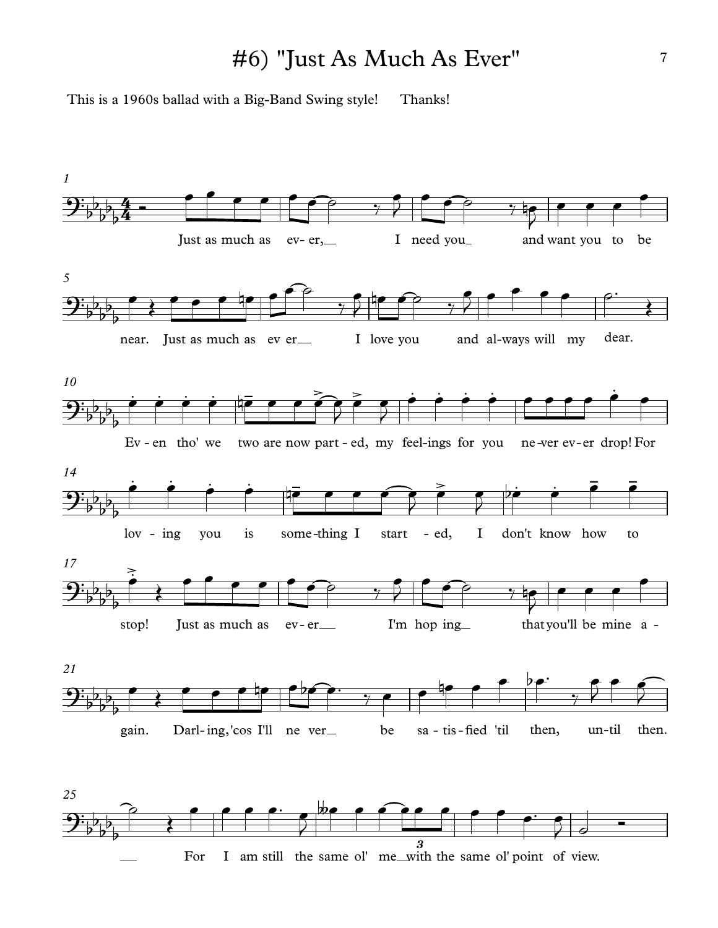#### #6) "Just As Much As Ever"

This is a 1960s ballad with a Big-Band Swing style! Thanks!

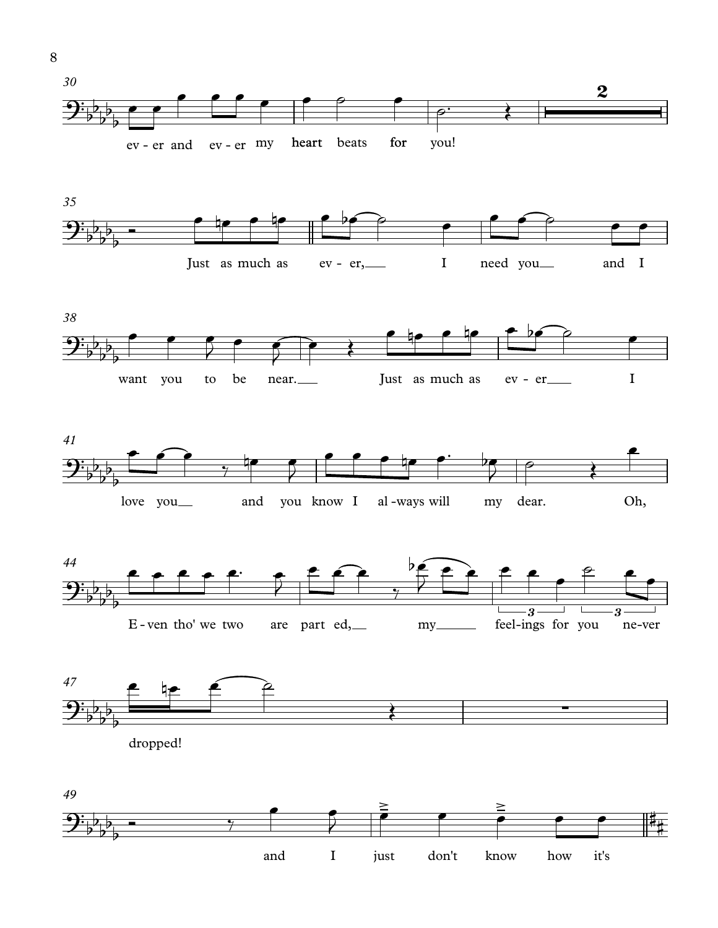













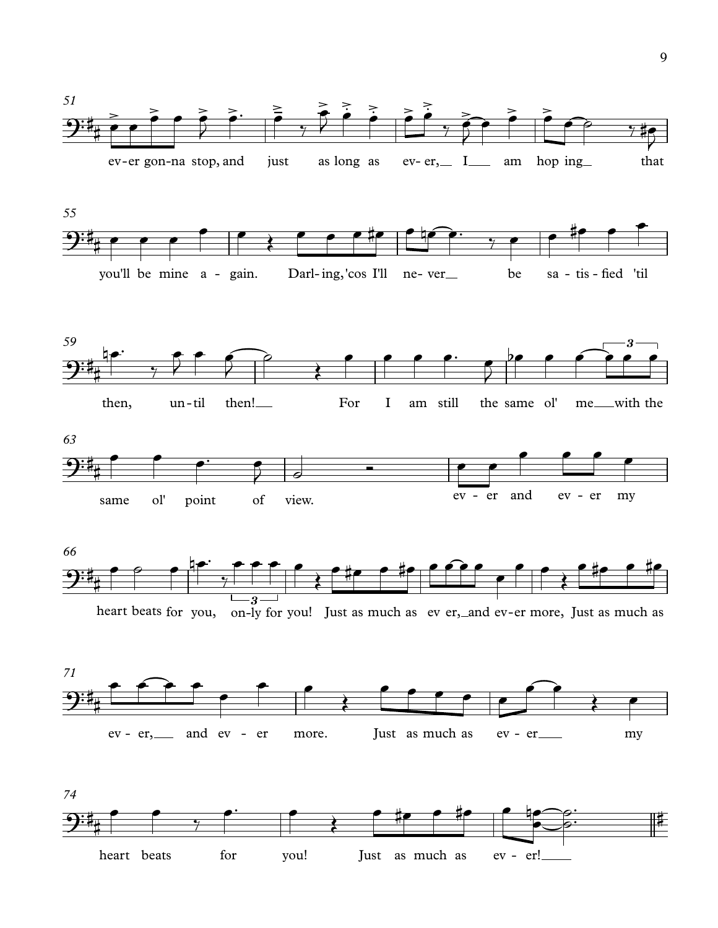